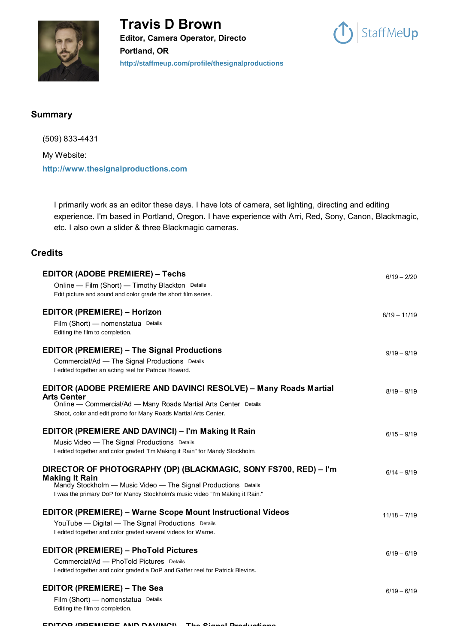



## **Summary**

(509) 833-4431 My Website: **[http://www.thesignalproductions.com](http://www.thesignalproductions.com/)**

I primarily work as an editor these days. I have lots of camera, set lighting, directing and editing experience. I'm based in Portland, Oregon. I have experience with Arri, Red, Sony, Canon, Blackmagic, etc. I also own a slider & three Blackmagic cameras.

## **Credits**

| <b>EDITOR (ADOBE PREMIERE) - Techs</b>                                                  | $6/19 - 2/20$  |
|-----------------------------------------------------------------------------------------|----------------|
| Online - Film (Short) - Timothy Blackton Details                                        |                |
| Edit picture and sound and color grade the short film series.                           |                |
| <b>EDITOR (PREMIERE) – Horizon</b>                                                      | $8/19 - 11/19$ |
| Film (Short) - nomenstatua Details                                                      |                |
| Editing the film to completion.                                                         |                |
| <b>EDITOR (PREMIERE) – The Signal Productions</b>                                       | $9/19 - 9/19$  |
| Commercial/Ad - The Signal Productions Details                                          |                |
| I edited together an acting reel for Patricia Howard.                                   |                |
| EDITOR (ADOBE PREMIERE AND DAVINCI RESOLVE) - Many Roads Martial<br><b>Arts Center</b>  | $8/19 - 9/19$  |
| Online — Commercial/Ad — Many Roads Martial Arts Center Details                         |                |
| Shoot, color and edit promo for Many Roads Martial Arts Center.                         |                |
| <b>EDITOR (PREMIERE AND DAVINCI) – I'm Making It Rain</b>                               | $6/15 - 9/19$  |
| Music Video - The Signal Productions Details                                            |                |
| I edited together and color graded "I'm Making it Rain" for Mandy Stockholm.            |                |
| DIRECTOR OF PHOTOGRAPHY (DP) (BLACKMAGIC, SONY FS700, RED) - I'm                        | $6/14 - 9/19$  |
| <b>Making It Rain</b><br>Mandy Stockholm - Music Video - The Signal Productions Details |                |
| I was the primary DoP for Mandy Stockholm's music video "I'm Making it Rain."           |                |
| <b>EDITOR (PREMIERE) - Warne Scope Mount Instructional Videos</b>                       | $11/18 - 7/19$ |
| YouTube - Digital - The Signal Productions Details                                      |                |
| I edited together and color graded several videos for Warne.                            |                |
| <b>EDITOR (PREMIERE) - PhoTold Pictures</b>                                             | $6/19 - 6/19$  |
| Commercial/Ad - PhoTold Pictures Details                                                |                |
| I edited together and color graded a DoP and Gaffer reel for Patrick Blevins.           |                |
| <b>EDITOR (PREMIERE) - The Sea</b>                                                      | $6/19 - 6/19$  |
| Film (Short) - nomenstatua Details                                                      |                |
| Editing the film to completion.                                                         |                |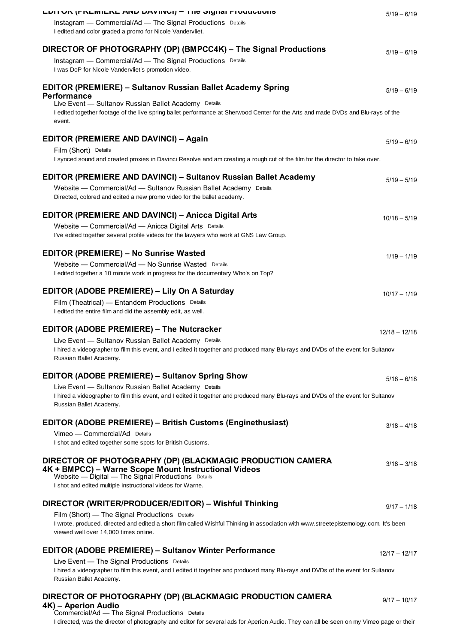| <b>EDITUR (FREINIERE AND DAVING) - THE SIGHAL FLOUDCIONS</b>                                                                                                                           | $5/19 - 6/19$   |
|----------------------------------------------------------------------------------------------------------------------------------------------------------------------------------------|-----------------|
| Instagram - Commercial/Ad - The Signal Productions Details                                                                                                                             |                 |
| I edited and color graded a promo for Nicole Vandervliet.                                                                                                                              |                 |
| DIRECTOR OF PHOTOGRAPHY (DP) (BMPCC4K) - The Signal Productions                                                                                                                        |                 |
| Instagram - Commercial/Ad - The Signal Productions Details                                                                                                                             | $5/19 - 6/19$   |
| I was DoP for Nicole Vandervliet's promotion video.                                                                                                                                    |                 |
|                                                                                                                                                                                        |                 |
| <b>EDITOR (PREMIERE) - Sultanov Russian Ballet Academy Spring</b><br><b>Performance</b>                                                                                                | $5/19 - 6/19$   |
| Live Event - Sultanov Russian Ballet Academy Details                                                                                                                                   |                 |
| I edited together footage of the live spring ballet performance at Sherwood Center for the Arts and made DVDs and Blu-rays of the                                                      |                 |
| event.                                                                                                                                                                                 |                 |
| <b>EDITOR (PREMIERE AND DAVINCI) - Again</b>                                                                                                                                           | $5/19 - 6/19$   |
| Film (Short) Details                                                                                                                                                                   |                 |
| I synced sound and created proxies in Davinci Resolve and am creating a rough cut of the film for the director to take over.                                                           |                 |
|                                                                                                                                                                                        |                 |
| <b>EDITOR (PREMIERE AND DAVINCI) - Sultanov Russian Ballet Academy</b>                                                                                                                 | $5/19 - 5/19$   |
| Website - Commercial/Ad - Sultanov Russian Ballet Academy Details<br>Directed, colored and edited a new promo video for the ballet academy.                                            |                 |
|                                                                                                                                                                                        |                 |
| <b>EDITOR (PREMIERE AND DAVINCI) - Anicca Digital Arts</b>                                                                                                                             | $10/18 - 5/19$  |
| Website - Commercial/Ad - Anicca Digital Arts Details                                                                                                                                  |                 |
| I've edited together several profile videos for the lawyers who work at GNS Law Group.                                                                                                 |                 |
| <b>EDITOR (PREMIERE) - No Sunrise Wasted</b>                                                                                                                                           |                 |
| Website - Commercial/Ad - No Sunrise Wasted Details                                                                                                                                    | $1/19 - 1/19$   |
| I edited together a 10 minute work in progress for the documentary Who's on Top?                                                                                                       |                 |
|                                                                                                                                                                                        |                 |
| EDITOR (ADOBE PREMIERE) - Lily On A Saturday                                                                                                                                           | $10/17 - 1/19$  |
| Film (Theatrical) — Entandem Productions Details                                                                                                                                       |                 |
| I edited the entire film and did the assembly edit, as well.                                                                                                                           |                 |
| <b>EDITOR (ADOBE PREMIERE) - The Nutcracker</b>                                                                                                                                        | $12/18 - 12/18$ |
| Live Event - Sultanov Russian Ballet Academy Details                                                                                                                                   |                 |
| I hired a videographer to film this event, and I edited it together and produced many Blu-rays and DVDs of the event for Sultanov                                                      |                 |
| Russian Ballet Academy.                                                                                                                                                                |                 |
| <b>EDITOR (ADOBE PREMIERE) - Sultanov Spring Show</b>                                                                                                                                  | $5/18 - 6/18$   |
| Live Event - Sultanov Russian Ballet Academy Details                                                                                                                                   |                 |
| I hired a videographer to film this event, and I edited it together and produced many Blu-rays and DVDs of the event for Sultanov                                                      |                 |
| Russian Ballet Academy.                                                                                                                                                                |                 |
| <b>EDITOR (ADOBE PREMIERE) - British Customs (Enginethusiast)</b>                                                                                                                      |                 |
| Vimeo - Commercial/Ad Details                                                                                                                                                          | $3/18 - 4/18$   |
| I shot and edited together some spots for British Customs.                                                                                                                             |                 |
|                                                                                                                                                                                        |                 |
| DIRECTOR OF PHOTOGRAPHY (DP) (BLACKMAGIC PRODUCTION CAMERA<br>4K + BMPCC) – Warne Scope Mount Instructional Videos                                                                     | $3/18 - 3/18$   |
| Website - Digital - The Signal Productions Details                                                                                                                                     |                 |
| I shot and edited multiple instructional videos for Warne.                                                                                                                             |                 |
|                                                                                                                                                                                        |                 |
| DIRECTOR (WRITER/PRODUCER/EDITOR) - Wishful Thinking                                                                                                                                   | $9/17 - 1/18$   |
| Film (Short) — The Signal Productions Details<br>I wrote, produced, directed and edited a short film called Wishful Thinking in association with www.streetepistemology.com. It's been |                 |
| viewed well over 14,000 times online.                                                                                                                                                  |                 |
|                                                                                                                                                                                        |                 |
| <b>EDITOR (ADOBE PREMIERE) - Sultanov Winter Performance</b>                                                                                                                           | $12/17 - 12/17$ |
| Live Event - The Signal Productions Details<br>I hired a videographer to film this event, and I edited it together and produced many Blu-rays and DVDs of the event for Sultanov       |                 |
| Russian Ballet Academy.                                                                                                                                                                |                 |
|                                                                                                                                                                                        |                 |
| DIRECTOR OF PHOTOGRAPHY (DP) (BLACKMAGIC PRODUCTION CAMERA                                                                                                                             | $9/17 - 10/17$  |

**4K) – Aperion Audio** Commercial/Ad — The Signal Productions Details

I directed, was the director of photography and editor for several ads for Aperion Audio. They can all be seen on my Vimeo page or their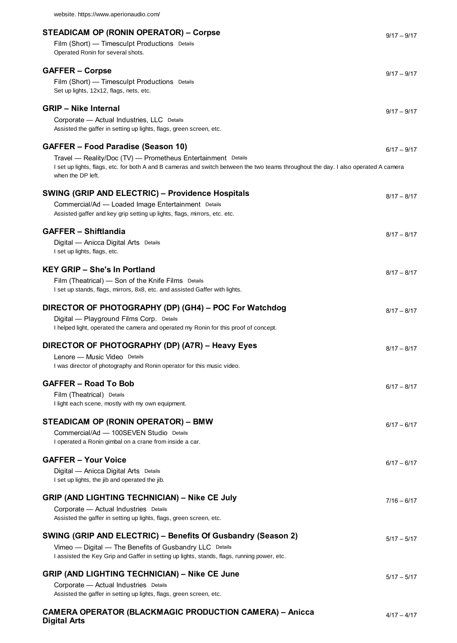| <b>STEADICAM OP (RONIN OPERATOR) – Corpse</b><br>Film (Short) - Timesculpt Productions Details<br>Operated Ronin for several shots.                                                                                                                                   | $9/17 - 9/17$ |
|-----------------------------------------------------------------------------------------------------------------------------------------------------------------------------------------------------------------------------------------------------------------------|---------------|
| <b>GAFFER - Corpse</b><br>Film (Short) - Timesculpt Productions Details<br>Set up lights, 12x12, flags, nets, etc.                                                                                                                                                    | $9/17 - 9/17$ |
| <b>GRIP - Nike Internal</b><br>Corporate - Actual Industries, LLC Details<br>Assisted the gaffer in setting up lights, flags, green screen, etc.                                                                                                                      | $9/17 - 9/17$ |
| <b>GAFFER - Food Paradise (Season 10)</b><br>Travel — Reality/Doc (TV) — Prometheus Entertainment Details<br>I set up lights, flags, etc. for both A and B cameras and switch between the two teams throughout the day. I also operated A camera<br>when the DP left. | $6/17 - 9/17$ |
| <b>SWING (GRIP AND ELECTRIC) - Providence Hospitals</b><br>Commercial/Ad - Loaded Image Entertainment Details<br>Assisted gaffer and key grip setting up lights, flags, mirrors, etc. etc.                                                                            | $8/17 - 8/17$ |
| <b>GAFFER - Shiftlandia</b><br>Digital - Anicca Digital Arts Details<br>I set up lights, flags, etc.                                                                                                                                                                  | $8/17 - 8/17$ |
| <b>KEY GRIP - She's In Portland</b><br>Film (Theatrical) — Son of the Knife Films Details<br>I set up stands, flags, mirrors, 8x8, etc. and assisted Gaffer with lights.                                                                                              | $8/17 - 8/17$ |
| DIRECTOR OF PHOTOGRAPHY (DP) (GH4) - POC For Watchdog<br>Digital - Playground Films Corp. Details<br>I helped light, operated the camera and operated my Ronin for this proof of concept.                                                                             | $8/17 - 8/17$ |
| DIRECTOR OF PHOTOGRAPHY (DP) (A7R) - Heavy Eyes<br>Lenore - Music Video Details<br>I was director of photography and Ronin operator for this music video.                                                                                                             | $8/17 - 8/17$ |
| <b>GAFFER – Road To Bob</b><br>Film (Theatrical) Details<br>I light each scene, mostly with my own equipment.                                                                                                                                                         | $6/17 - 8/17$ |
| STEADICAM OP (RONIN OPERATOR) - BMW<br>Commercial/Ad - 100SEVEN Studio Details<br>I operated a Ronin gimbal on a crane from inside a car.                                                                                                                             | $6/17 - 6/17$ |
| <b>GAFFER - Your Voice</b><br>Digital - Anicca Digital Arts Details<br>I set up lights, the jib and operated the jib.                                                                                                                                                 | $6/17 - 6/17$ |
| <b>GRIP (AND LIGHTING TECHNICIAN) – Nike CE July</b><br>Corporate - Actual Industries Details<br>Assisted the gaffer in setting up lights, flags, green screen, etc.                                                                                                  | $7/16 - 6/17$ |
| SWING (GRIP AND ELECTRIC) - Benefits Of Gusbandry (Season 2)<br>Vimeo - Digital - The Benefits of Gusbandry LLC Details<br>I assisted the Key Grip and Gaffer in setting up lights, stands, flags, running power, etc.                                                | $5/17 - 5/17$ |
| <b>GRIP (AND LIGHTING TECHNICIAN) - Nike CE June</b><br>Corporate - Actual Industries Details<br>Assisted the gaffer in setting up lights, flags, green screen, etc.                                                                                                  | $5/17 - 5/17$ |
| <b>CAMERA OPERATOR (BLACKMAGIC PRODUCTION CAMERA) - Anicca</b>                                                                                                                                                                                                        | $4/17 - 4/17$ |

**Digital Arts**

website. https://www.aperionaudio.com/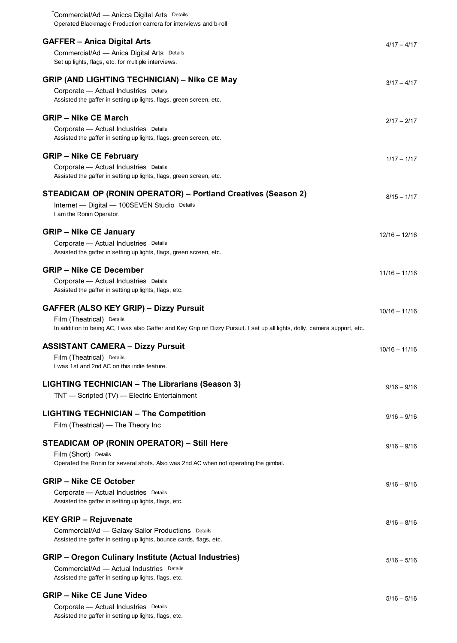| Commercial/Ad — Anicca Digital Arts Details<br>Operated Blackmagic Production camera for interviews and b-roll                                          |                 |
|---------------------------------------------------------------------------------------------------------------------------------------------------------|-----------------|
|                                                                                                                                                         |                 |
| <b>GAFFER - Anica Digital Arts</b>                                                                                                                      | $4/17 - 4/17$   |
| Commercial/Ad - Anica Digital Arts Details<br>Set up lights, flags, etc. for multiple interviews.                                                       |                 |
|                                                                                                                                                         |                 |
| <b>GRIP (AND LIGHTING TECHNICIAN) - Nike CE May</b>                                                                                                     | $3/17 - 4/17$   |
| Corporate - Actual Industries Details                                                                                                                   |                 |
| Assisted the gaffer in setting up lights, flags, green screen, etc.                                                                                     |                 |
| <b>GRIP - Nike CE March</b>                                                                                                                             | $2/17 - 2/17$   |
| Corporate - Actual Industries Details                                                                                                                   |                 |
| Assisted the gaffer in setting up lights, flags, green screen, etc.                                                                                     |                 |
| <b>GRIP - Nike CE February</b>                                                                                                                          | $1/17 - 1/17$   |
| Corporate - Actual Industries Details                                                                                                                   |                 |
| Assisted the gaffer in setting up lights, flags, green screen, etc.                                                                                     |                 |
| STEADICAM OP (RONIN OPERATOR) - Portland Creatives (Season 2)                                                                                           | $8/15 - 1/17$   |
| Internet - Digital - 100SEVEN Studio Details                                                                                                            |                 |
| I am the Ronin Operator.                                                                                                                                |                 |
| <b>GRIP - Nike CE January</b>                                                                                                                           |                 |
| Corporate - Actual Industries Details                                                                                                                   | $12/16 - 12/16$ |
| Assisted the gaffer in setting up lights, flags, green screen, etc.                                                                                     |                 |
| <b>GRIP - Nike CE December</b>                                                                                                                          |                 |
| Corporate - Actual Industries Details                                                                                                                   | $11/16 - 11/16$ |
| Assisted the gaffer in setting up lights, flags, etc.                                                                                                   |                 |
|                                                                                                                                                         |                 |
| <b>GAFFER (ALSO KEY GRIP) - Dizzy Pursuit</b>                                                                                                           | $10/16 - 11/16$ |
| Film (Theatrical) Details<br>In addition to being AC, I was also Gaffer and Key Grip on Dizzy Pursuit. I set up all lights, dolly, camera support, etc. |                 |
|                                                                                                                                                         |                 |
| <b>ASSISTANT CAMERA - Dizzy Pursuit</b>                                                                                                                 | $10/16 - 11/16$ |
| Film (Theatrical) Details<br>I was 1st and 2nd AC on this indie feature.                                                                                |                 |
|                                                                                                                                                         |                 |
| <b>LIGHTING TECHNICIAN - The Librarians (Season 3)</b>                                                                                                  | $9/16 - 9/16$   |
| TNT - Scripted (TV) - Electric Entertainment                                                                                                            |                 |
| <b>LIGHTING TECHNICIAN - The Competition</b>                                                                                                            |                 |
| Film (Theatrical) - The Theory Inc                                                                                                                      | $9/16 - 9/16$   |
|                                                                                                                                                         |                 |
| STEADICAM OP (RONIN OPERATOR) - Still Here                                                                                                              | $9/16 - 9/16$   |
| Film (Short) Details<br>Operated the Ronin for several shots. Also was 2nd AC when not operating the gimbal.                                            |                 |
|                                                                                                                                                         |                 |
| <b>GRIP - Nike CE October</b>                                                                                                                           | $9/16 - 9/16$   |
| Corporate - Actual Industries Details<br>Assisted the gaffer in setting up lights, flags, etc.                                                          |                 |
|                                                                                                                                                         |                 |
| <b>KEY GRIP - Rejuvenate</b>                                                                                                                            | $8/16 - 8/16$   |
| Commercial/Ad - Galaxy Sailor Productions Details                                                                                                       |                 |
| Assisted the gaffer in setting up lights, bounce cards, flags, etc.                                                                                     |                 |
| <b>GRIP - Oregon Culinary Institute (Actual Industries)</b>                                                                                             | $5/16 - 5/16$   |
| Commercial/Ad - Actual Industries Details                                                                                                               |                 |
| Assisted the gaffer in setting up lights, flags, etc.                                                                                                   |                 |
| <b>GRIP – Nike CE June Video</b>                                                                                                                        | $5/16 - 5/16$   |
| Corporate - Actual Industries Details                                                                                                                   |                 |
| Assisted the gaffer in setting up lights, flags, etc.                                                                                                   |                 |

**Digital Arts**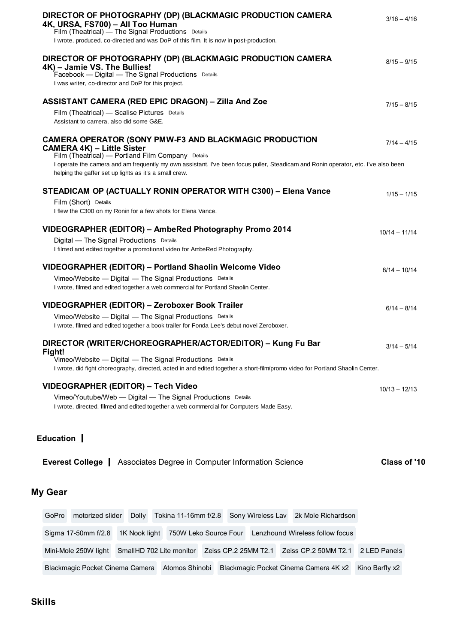| DIRECTOR OF PHOTOGRAPHY (DP) (BLACKMAGIC PRODUCTION CAMERA<br>4K, URSA, FS700) - All Too Human<br>Film (Theatrical) - The Signal Productions Details<br>I wrote, produced, co-directed and was DoP of this film. It is now in post-production.                                                                                                          | $3/16 - 4/16$   |
|---------------------------------------------------------------------------------------------------------------------------------------------------------------------------------------------------------------------------------------------------------------------------------------------------------------------------------------------------------|-----------------|
| DIRECTOR OF PHOTOGRAPHY (DP) (BLACKMAGIC PRODUCTION CAMERA<br>4K) - Jamie VS. The Bullies!<br>Facebook - Digital - The Signal Productions Details<br>I was writer, co-director and DoP for this project.                                                                                                                                                | $8/15 - 9/15$   |
| <b>ASSISTANT CAMERA (RED EPIC DRAGON) - Zilla And Zoe</b>                                                                                                                                                                                                                                                                                               | $7/15 - 8/15$   |
| Film (Theatrical) - Scalise Pictures Details<br>Assistant to camera, also did some G&E.                                                                                                                                                                                                                                                                 |                 |
| <b>CAMERA OPERATOR (SONY PMW-F3 AND BLACKMAGIC PRODUCTION</b><br><b>CAMERA 4K) - Little Sister</b><br>Film (Theatrical) - Portland Film Company Details<br>I operate the camera and am frequently my own assistant. I've been focus puller, Steadicam and Ronin operator, etc. I've also been<br>helping the gaffer set up lights as it's a small crew. | $7/14 - 4/15$   |
| STEADICAM OP (ACTUALLY RONIN OPERATOR WITH C300) - Elena Vance<br>Film (Short) Details<br>I flew the C300 on my Ronin for a few shots for Elena Vance.                                                                                                                                                                                                  | $1/15 - 1/15$   |
|                                                                                                                                                                                                                                                                                                                                                         |                 |
| VIDEOGRAPHER (EDITOR) - AmbeRed Photography Promo 2014<br>Digital - The Signal Productions Details<br>I filmed and edited together a promotional video for AmbeRed Photography.                                                                                                                                                                         | $10/14 - 11/14$ |
| VIDEOGRAPHER (EDITOR) - Portland Shaolin Welcome Video                                                                                                                                                                                                                                                                                                  | $8/14 - 10/14$  |
| Vimeo/Website - Digital - The Signal Productions Details<br>I wrote, filmed and edited together a web commercial for Portland Shaolin Center.                                                                                                                                                                                                           |                 |
| VIDEOGRAPHER (EDITOR) - Zeroboxer Book Trailer                                                                                                                                                                                                                                                                                                          | $6/14 - 8/14$   |
| Vimeo/Website - Digital - The Signal Productions Details<br>I wrote, filmed and edited together a book trailer for Fonda Lee's debut novel Zeroboxer.                                                                                                                                                                                                   |                 |
| DIRECTOR (WRITER/CHOREOGRAPHER/ACTOR/EDITOR) – Kung Fu Bar<br>Fight!<br>Vimeo/Website - Digital - The Signal Productions Details<br>I wrote, did fight choreography, directed, acted in and edited together a short-film/promo video for Portland Shaolin Center.                                                                                       | $3/14 - 5/14$   |
| VIDEOGRAPHER (EDITOR) - Tech Video                                                                                                                                                                                                                                                                                                                      |                 |
| Vimeo/Youtube/Web - Digital - The Signal Productions Details<br>I wrote, directed, filmed and edited together a web commercial for Computers Made Easy.                                                                                                                                                                                                 | $10/13 - 12/13$ |
| Education                                                                                                                                                                                                                                                                                                                                               |                 |
| <b>Everest College</b>   Associates Degree in Computer Information Science                                                                                                                                                                                                                                                                              | Class of '10    |
| <b>My Gear</b>                                                                                                                                                                                                                                                                                                                                          |                 |
| Sony Wireless Lav 2k Mole Richardson<br>GoPro<br>motorized slider<br>Tokina 11-16mm f/2.8<br><b>Dolly</b>                                                                                                                                                                                                                                               |                 |
| Sigma 17-50mm f/2.8<br>1K Nook light<br>750W Leko Source Four<br>Lenzhound Wireless follow focus                                                                                                                                                                                                                                                        |                 |
| Zeiss CP.2 25MM T2.1<br>Zeiss CP.2 50MM T2.1<br>Mini-Mole 250W light<br>SmallHD 702 Lite monitor                                                                                                                                                                                                                                                        | 2 LED Panels    |
| Atomos Shinobi<br>Blackmagic Pocket Cinema Camera<br>Blackmagic Pocket Cinema Camera 4K x2                                                                                                                                                                                                                                                              | Kino Barfly x2  |